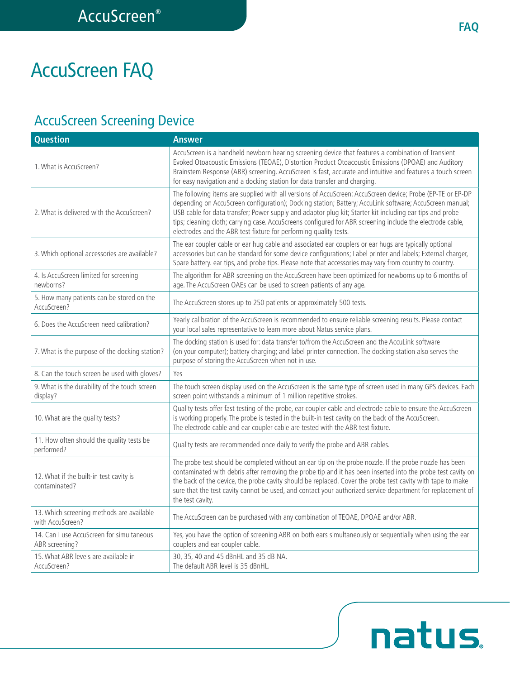natus.

# AccuScreen FAQ

## AccuScreen Screening Device

| <b>Question</b>                                               | <b>Answer</b>                                                                                                                                                                                                                                                                                                                                                                                                                                                                                                        |
|---------------------------------------------------------------|----------------------------------------------------------------------------------------------------------------------------------------------------------------------------------------------------------------------------------------------------------------------------------------------------------------------------------------------------------------------------------------------------------------------------------------------------------------------------------------------------------------------|
| 1. What is AccuScreen?                                        | AccuScreen is a handheld newborn hearing screening device that features a combination of Transient<br>Evoked Otoacoustic Emissions (TEOAE), Distortion Product Otoacoustic Emissions (DPOAE) and Auditory<br>Brainstem Response (ABR) screening. AccuScreen is fast, accurate and intuitive and features a touch screen<br>for easy navigation and a docking station for data transfer and charging.                                                                                                                 |
| 2. What is delivered with the AccuScreen?                     | The following items are supplied with all versions of AccuScreen: AccuScreen device; Probe (EP-TE or EP-DP<br>depending on AccuScreen configuration); Docking station; Battery; AccuLink software; AccuScreen manual;<br>USB cable for data transfer; Power supply and adaptor plug kit; Starter kit including ear tips and probe<br>tips; cleaning cloth; carrying case. AccuScreens configured for ABR screening include the electrode cable,<br>electrodes and the ABR test fixture for performing quality tests. |
| 3. Which optional accessories are available?                  | The ear coupler cable or ear hug cable and associated ear couplers or ear hugs are typically optional<br>accessories but can be standard for some device configurations; Label printer and labels; External charger,<br>Spare battery. ear tips, and probe tips. Please note that accessories may vary from country to country.                                                                                                                                                                                      |
| 4. Is AccuScreen limited for screening<br>newborns?           | The algorithm for ABR screening on the AccuScreen have been optimized for newborns up to 6 months of<br>age. The AccuScreen OAEs can be used to screen patients of any age.                                                                                                                                                                                                                                                                                                                                          |
| 5. How many patients can be stored on the<br>AccuScreen?      | The AccuScreen stores up to 250 patients or approximately 500 tests.                                                                                                                                                                                                                                                                                                                                                                                                                                                 |
| 6. Does the AccuScreen need calibration?                      | Yearly calibration of the AccuScreen is recommended to ensure reliable screening results. Please contact<br>your local sales representative to learn more about Natus service plans.                                                                                                                                                                                                                                                                                                                                 |
| 7. What is the purpose of the docking station?                | The docking station is used for: data transfer to/from the AccuScreen and the AccuLink software<br>(on your computer); battery charging; and label printer connection. The docking station also serves the<br>purpose of storing the AccuScreen when not in use.                                                                                                                                                                                                                                                     |
| 8. Can the touch screen be used with gloves?                  | Yes                                                                                                                                                                                                                                                                                                                                                                                                                                                                                                                  |
| 9. What is the durability of the touch screen<br>display?     | The touch screen display used on the AccuScreen is the same type of screen used in many GPS devices. Each<br>screen point withstands a minimum of 1 million repetitive strokes.                                                                                                                                                                                                                                                                                                                                      |
| 10. What are the quality tests?                               | Quality tests offer fast testing of the probe, ear coupler cable and electrode cable to ensure the AccuScreen<br>is working properly. The probe is tested in the built-in test cavity on the back of the AccuScreen.<br>The electrode cable and ear coupler cable are tested with the ABR test fixture.                                                                                                                                                                                                              |
| 11. How often should the quality tests be<br>performed?       | Quality tests are recommended once daily to verify the probe and ABR cables.                                                                                                                                                                                                                                                                                                                                                                                                                                         |
| 12. What if the built-in test cavity is<br>contaminated?      | The probe test should be completed without an ear tip on the probe nozzle. If the probe nozzle has been<br>contaminated with debris after removing the probe tip and it has been inserted into the probe test cavity on<br>the back of the device, the probe cavity should be replaced. Cover the probe test cavity with tape to make<br>sure that the test cavity cannot be used, and contact your authorized service department for replacement of<br>the test cavity.                                             |
| 13. Which screening methods are available<br>with AccuScreen? | The AccuScreen can be purchased with any combination of TEOAE, DPOAE and/or ABR.                                                                                                                                                                                                                                                                                                                                                                                                                                     |
| 14. Can I use AccuScreen for simultaneous<br>ABR screening?   | Yes, you have the option of screening ABR on both ears simultaneously or sequentially when using the ear<br>couplers and ear coupler cable.                                                                                                                                                                                                                                                                                                                                                                          |
| 15. What ABR levels are available in<br>AccuScreen?           | 30, 35, 40 and 45 dBnHL and 35 dB NA.<br>The default ABR level is 35 dBnHL.                                                                                                                                                                                                                                                                                                                                                                                                                                          |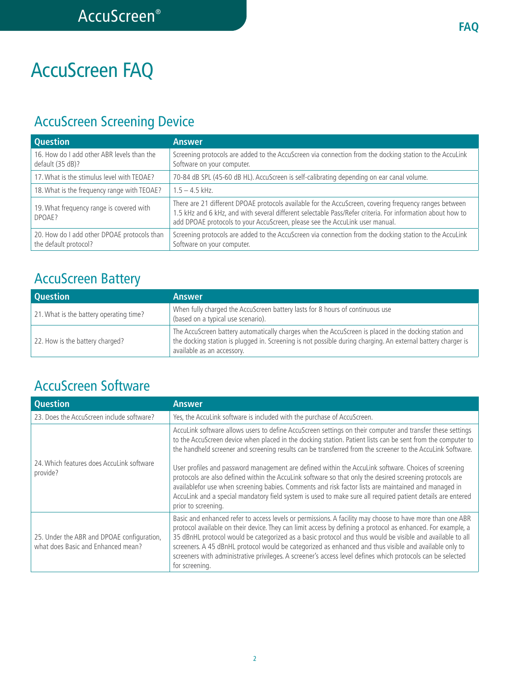# AccuScreen FAQ

## AccuScreen Screening Device

| <b>Question</b>                                                      | <b>Answer</b>                                                                                                                                                                                                                                                                                        |
|----------------------------------------------------------------------|------------------------------------------------------------------------------------------------------------------------------------------------------------------------------------------------------------------------------------------------------------------------------------------------------|
| 16. How do I add other ABR levels than the<br>default (35 dB)?       | Screening protocols are added to the AccuScreen via connection from the docking station to the AccuLink<br>Software on your computer.                                                                                                                                                                |
| 17. What is the stimulus level with TEOAE?                           | 70-84 dB SPL (45-60 dB HL). AccuScreen is self-calibrating depending on ear canal volume.                                                                                                                                                                                                            |
| 18. What is the frequency range with TEOAE?                          | $1.5 - 4.5$ kHz.                                                                                                                                                                                                                                                                                     |
| 19. What frequency range is covered with<br>DPOAE?                   | There are 21 different DPOAE protocols available for the AccuScreen, covering frequency ranges between<br>1.5 kHz and 6 kHz, and with several different selectable Pass/Refer criteria. For information about how to<br>add DPOAE protocols to your AccuScreen, please see the AccuLink user manual. |
| 20. How do I add other DPOAE protocols than<br>the default protocol? | Screening protocols are added to the AccuScreen via connection from the docking station to the AccuLink<br>Software on your computer.                                                                                                                                                                |

### AccuScreen Battery

| <b>Question</b>                         | <b>Answer</b>                                                                                                                                                                                                                                       |
|-----------------------------------------|-----------------------------------------------------------------------------------------------------------------------------------------------------------------------------------------------------------------------------------------------------|
| 21. What is the battery operating time? | When fully charged the AccuScreen battery lasts for 8 hours of continuous use<br>(based on a typical use scenario).                                                                                                                                 |
| 22. How is the battery charged?         | The AccuScreen battery automatically charges when the AccuScreen is placed in the docking station and<br>the docking station is plugged in. Screening is not possible during charging. An external battery charger is<br>available as an accessory. |

### AccuScreen Software

| <b>Question</b>                                                                  | <b>Answer</b>                                                                                                                                                                                                                                                                                                                                                                                                                                                                                                                                                                                                                                                                                                                                                                      |
|----------------------------------------------------------------------------------|------------------------------------------------------------------------------------------------------------------------------------------------------------------------------------------------------------------------------------------------------------------------------------------------------------------------------------------------------------------------------------------------------------------------------------------------------------------------------------------------------------------------------------------------------------------------------------------------------------------------------------------------------------------------------------------------------------------------------------------------------------------------------------|
| 23. Does the AccuScreen include software?                                        | Yes, the AccuLink software is included with the purchase of AccuScreen.                                                                                                                                                                                                                                                                                                                                                                                                                                                                                                                                                                                                                                                                                                            |
| 24. Which features does AccuLink software<br>provide?                            | AccuLink software allows users to define AccuScreen settings on their computer and transfer these settings<br>to the AccuScreen device when placed in the docking station. Patient lists can be sent from the computer to<br>the handheld screener and screening results can be transferred from the screener to the AccuLink Software.<br>User profiles and password management are defined within the AccuLink software. Choices of screening<br>protocols are also defined within the AccuLink software so that only the desired screening protocols are<br>availablefor use when screening babies. Comments and risk factor lists are maintained and managed in<br>AccuLink and a special mandatory field system is used to make sure all required patient details are entered |
| 25. Under the ABR and DPOAE configuration,<br>what does Basic and Enhanced mean? | prior to screening.<br>Basic and enhanced refer to access levels or permissions. A facility may choose to have more than one ABR<br>protocol available on their device. They can limit access by defining a protocol as enhanced. For example, a<br>35 dBnHL protocol would be categorized as a basic protocol and thus would be visible and available to all<br>screeners. A 45 dBnHL protocol would be categorized as enhanced and thus visible and available only to<br>screeners with administrative privileges. A screener's access level defines which protocols can be selected<br>for screening.                                                                                                                                                                           |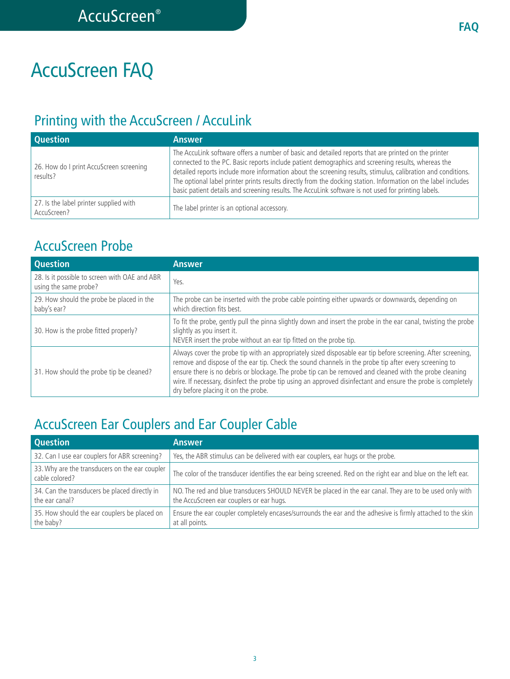# AccuScreen FAQ

### Printing with the AccuScreen / AccuLink

| <b>Question</b>                                       | <b>Answer</b>                                                                                                                                                                                                                                                                                                                                                                                                                                                                                                                                      |
|-------------------------------------------------------|----------------------------------------------------------------------------------------------------------------------------------------------------------------------------------------------------------------------------------------------------------------------------------------------------------------------------------------------------------------------------------------------------------------------------------------------------------------------------------------------------------------------------------------------------|
| 26. How do I print AccuScreen screening<br>results?   | The AccuLink software offers a number of basic and detailed reports that are printed on the printer<br>connected to the PC. Basic reports include patient demographics and screening results, whereas the<br>detailed reports include more information about the screening results, stimulus, calibration and conditions.<br>The optional label printer prints results directly from the docking station. Information on the label includes<br>basic patient details and screening results. The AccuLink software is not used for printing labels. |
| 27. Is the label printer supplied with<br>AccuScreen? | The label printer is an optional accessory.                                                                                                                                                                                                                                                                                                                                                                                                                                                                                                        |

#### AccuScreen Probe

| <b>Question</b>                                                        | <b>Answer</b>                                                                                                                                                                                                                                                                                                                                                                                                                                                                            |
|------------------------------------------------------------------------|------------------------------------------------------------------------------------------------------------------------------------------------------------------------------------------------------------------------------------------------------------------------------------------------------------------------------------------------------------------------------------------------------------------------------------------------------------------------------------------|
| 28. Is it possible to screen with OAE and ABR<br>using the same probe? | Yes.                                                                                                                                                                                                                                                                                                                                                                                                                                                                                     |
| 29. How should the probe be placed in the<br>baby's ear?               | The probe can be inserted with the probe cable pointing either upwards or downwards, depending on<br>which direction fits best.                                                                                                                                                                                                                                                                                                                                                          |
| 30. How is the probe fitted properly?                                  | To fit the probe, gently pull the pinna slightly down and insert the probe in the ear canal, twisting the probe<br>slightly as you insert it.<br>NEVER insert the probe without an ear tip fitted on the probe tip.                                                                                                                                                                                                                                                                      |
| 31. How should the probe tip be cleaned?                               | Always cover the probe tip with an appropriately sized disposable ear tip before screening. After screening,<br>remove and dispose of the ear tip. Check the sound channels in the probe tip after every screening to<br>ensure there is no debris or blockage. The probe tip can be removed and cleaned with the probe cleaning<br>wire. If necessary, disinfect the probe tip using an approved disinfectant and ensure the probe is completely<br>dry before placing it on the probe. |

### AccuScreen Ear Couplers and Ear Coupler Cable

| <b>Question</b>                                                  | <b>Answer</b>                                                                                                                                       |
|------------------------------------------------------------------|-----------------------------------------------------------------------------------------------------------------------------------------------------|
| 32. Can I use ear couplers for ABR screening?                    | Yes, the ABR stimulus can be delivered with ear couplers, ear hugs or the probe.                                                                    |
| 33. Why are the transducers on the ear coupler<br>cable colored? | The color of the transducer identifies the ear being screened. Red on the right ear and blue on the left ear.                                       |
| 34. Can the transducers be placed directly in<br>the ear canal?  | NO. The red and blue transducers SHOULD NEVER be placed in the ear canal. They are to be used only with<br>the AccuScreen ear couplers or ear hugs. |
| 35. How should the ear couplers be placed on<br>the baby?        | Ensure the ear coupler completely encases/surrounds the ear and the adhesive is firmly attached to the skin<br>at all points.                       |